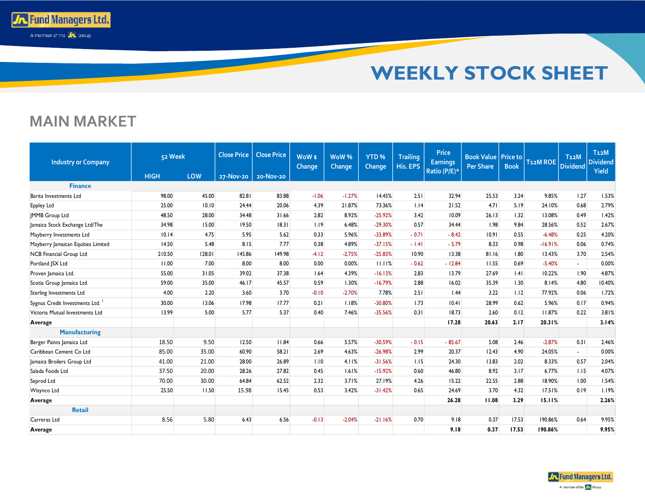

## **MAIN MARKET**

**To Fund Managers Ltd.** A member of the **Jn** Group

| <b>Industry or Company</b>         | 52 Week     |        | <b>Close Price</b> | <b>Close Price</b> | WoW <sub>\$</sub><br>Change | <b>WoW%</b><br>Change | YTD <sub>%</sub><br><b>Change</b> | <b>Trailing</b><br>His. EPS | <b>Price</b><br><b>Earnings</b><br>Ratio (P/E)* | <b>Book Value   Price to</b><br><b>Per Share</b> | <b>Book</b> | <b>T12M ROE</b> | T <sub>12</sub> M<br><b>Dividend</b> | T <sub>12</sub> M<br><b>Dividend</b><br>Yield |
|------------------------------------|-------------|--------|--------------------|--------------------|-----------------------------|-----------------------|-----------------------------------|-----------------------------|-------------------------------------------------|--------------------------------------------------|-------------|-----------------|--------------------------------------|-----------------------------------------------|
|                                    | <b>HIGH</b> | LOW    | 27-Nov-20          | 20-Nov-20          |                             |                       |                                   |                             |                                                 |                                                  |             |                 |                                      |                                               |
| <b>Finance</b>                     |             |        |                    |                    |                             |                       |                                   |                             |                                                 |                                                  |             |                 |                                      |                                               |
| Barita Investments Ltd             | 98.00       | 45.00  | 82.81              | 83.88              | $-1.06$                     | $-1.27%$              | 14.45%                            | 2.51                        | 32.94                                           | 25.53                                            | 3.24        | 9.85%           | 1.27                                 | 1.53%                                         |
| Eppley Ltd                         | 25.00       | 10.10  | 24.44              | 20.06              | 4.39                        | 21.87%                | 73.36%                            | 1.14                        | 21.52                                           | 4.71                                             | 5.19        | 24.10%          | 0.68                                 | 2.79%                                         |
| <b>IMMB</b> Group Ltd              | 48.50       | 28.00  | 34.48              | 31.66              | 2.82                        | 8.92%                 | $-25.92%$                         | 3.42                        | 10.09                                           | 26.13                                            | 1.32        | 13.08%          | 0.49                                 | 1.42%                                         |
| Jamaica Stock Exchange Ltd/The     | 34.98       | 15.00  | 19.50              | 18.31              | 1.19                        | 6.48%                 | $-29.30%$                         | 0.57                        | 34.44                                           | 1.98                                             | 9.84        | 28.56%          | 0.52                                 | 2.67%                                         |
| Mayberry Investments Ltd           | 10.14       | 4.75   | 5.95               | 5.62               | 0.33                        | 5.96%                 | $-33.89%$                         | $-0.71$                     | $-8.42$                                         | 10.91                                            | 0.55        | $-6.48%$        | 0.25                                 | 4.20%                                         |
| Mayberry Jamaican Equities Limited | 14.50       | 5.48   | 8.15               | 7.77               | 0.38                        | 4.89%                 | $-37.15%$                         | $-1.41$                     | $-5.79$                                         | 8.33                                             | 0.98        | $-16.91%$       | 0.06                                 | 0.74%                                         |
| NCB Financial Group Ltd            | 210.50      | 128.01 | 145.86             | 149.98             | $-4.12$                     | $-2.75%$              | $-25.83%$                         | 10.90                       | 13.38                                           | 81.16                                            | 1.80        | 13.43%          | 3.70                                 | 2.54%                                         |
| Portland JSX Ltd                   | 11.00       | 7.00   | 8.00               | 8.00               | 0.00                        | 0.00%                 | 11.11%                            | $-0.62$                     | $-12.84$                                        | 11.55                                            | 0.69        | $-5.40%$        | $\sim$                               | 0.00%                                         |
| Proven Jamaica Ltd.                | 55.00       | 31.05  | 39.02              | 37.38              | 1.64                        | 4.39%                 | $-16.13%$                         | 2.83                        | 13.79                                           | 27.69                                            | .4          | 10.22%          | 1.90                                 | 4.87%                                         |
| Scotia Group Jamaica Ltd           | 59.00       | 35.00  | 46.17              | 45.57              | 0.59                        | 1.30%                 | $-16.79%$                         | 2.88                        | 16.02                                           | 35.39                                            | 1.30        | 8.14%           | 4.80                                 | 10.40%                                        |
| Sterling Investments Ltd           | 4.00        | 2.20   | 3.60               | 3.70               | $-0.10$                     | $-2.70%$              | 7.78%                             | 2.51                        | 1.44                                            | 3.22                                             | 1.12        | 77.92%          | 0.06                                 | 1.72%                                         |
| Sygnus Credit Investments Ltd.     | 30.00       | 13.06  | 17.98              | 17.77              | 0.21                        | 1.18%                 | $-30.80%$                         | 1.73                        | 10.41                                           | 28.99                                            | 0.62        | 5.96%           | 0.17                                 | 0.94%                                         |
| Victoria Mutual Investments Ltd    | 13.99       | 5.00   | 5.77               | 5.37               | 0.40                        | 7.46%                 | $-35.56%$                         | 0.31                        | 18.73                                           | 2.60                                             | 0.12        | 11.87%          | 0.22                                 | 3.81%                                         |
| Average                            |             |        |                    |                    |                             |                       |                                   |                             | 17.28                                           | 20.63                                            | 2.17        | 20.31%          |                                      | 3.14%                                         |
| <b>Manufacturing</b>               |             |        |                    |                    |                             |                       |                                   |                             |                                                 |                                                  |             |                 |                                      |                                               |
| Berger Paints Jamaica Ltd          | 18.50       | 9.50   | 12.50              | 11.84              | 0.66                        | 5.57%                 | $-30.59%$                         | $-0.15$                     | $-85.67$                                        | 5.08                                             | 2.46        | $-2.87%$        | 0.31                                 | 2.46%                                         |
| Caribbean Cement Co Ltd            | 85.00       | 35.00  | 60.90              | 58.21              | 2.69                        | 4.63%                 | $-26.98%$                         | 2.99                        | 20.37                                           | 12.43                                            | 4.90        | 24.05%          | ÷.                                   | 0.00%                                         |
| Jamaica Broilers Group Ltd         | 41.00       | 21.00  | 28.00              | 26.89              | 1.10                        | 4.11%                 | $-31.56%$                         | 1.15                        | 24.30                                           | 13.83                                            | 2.02        | 8.33%           | 0.57                                 | 2.04%                                         |
| Salada Foods Ltd                   | 37.50       | 20.00  | 28.26              | 27.82              | 0.45                        | 1.61%                 | $-15.92%$                         | 0.60                        | 46.80                                           | 8.92                                             | 3.17        | 6.77%           | 1.15                                 | 4.07%                                         |
| Seprod Ltd                         | 70.00       | 30.00  | 64.84              | 62.52              | 2.32                        | 3.71%                 | 27.19%                            | 4.26                        | 15.22                                           | 22.55                                            | 2.88        | 18.90%          | 1.00                                 | 1.54%                                         |
| Wisynco Ltd                        | 25.50       | 11.50  | 15.98              | 15.45              | 0.53                        | 3.42%                 | $-31.42%$                         | 0.65                        | 24.69                                           | 3.70                                             | 4.32        | 17.51%          | 0.19                                 | 1.19%                                         |
| Average                            |             |        |                    |                    |                             |                       |                                   |                             | 26.28                                           | 11.08                                            | 3.29        | 15.11%          |                                      | 2.26%                                         |
| <b>Retail</b>                      |             |        |                    |                    |                             |                       |                                   |                             |                                                 |                                                  |             |                 |                                      |                                               |
| Carreras Ltd                       | 8.56        | 5.80   | 6.43               | 6.56               | $-0.13$                     | $-2.04%$              | $-21.16%$                         | 0.70                        | 9.18                                            | 0.37                                             | 17.53       | 190.86%         | 0.64                                 | 9.95%                                         |
| Average                            |             |        |                    |                    |                             |                       |                                   |                             | 9.18                                            | 0.37                                             | 17.53       | 190.86%         |                                      | 9.95%                                         |

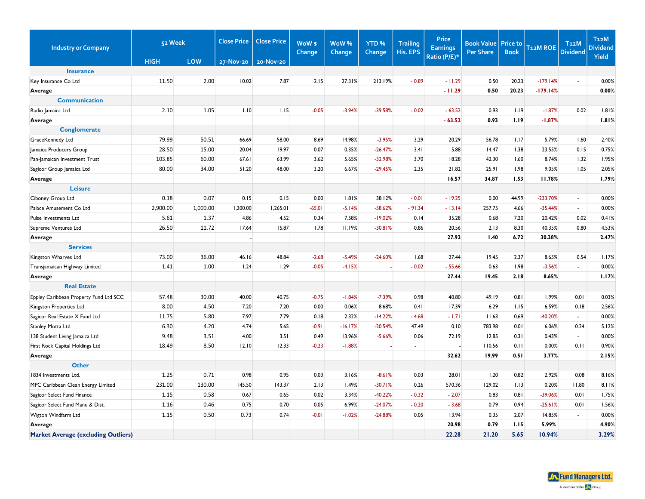| <b>Industry or Company</b>                 | 52 Week     |          | <b>Close Price</b><br><b>Close Price</b> |           | WoW \$<br><b>Change</b> | WoW%      | YTD <sub>%</sub><br>Change<br>Change |              | <b>Price</b><br><b>Earnings</b> | <b>Book Value</b><br><b>Per Share</b> | <b>Price to</b><br><b>Book</b> | T12M ROE   | T <sub>12</sub> M<br><b>Dividend</b> | T <sub>12</sub> M<br><b>Dividend</b> |
|--------------------------------------------|-------------|----------|------------------------------------------|-----------|-------------------------|-----------|--------------------------------------|--------------|---------------------------------|---------------------------------------|--------------------------------|------------|--------------------------------------|--------------------------------------|
|                                            | <b>HIGH</b> | LOW      | 27-Nov-20                                | 20-Nov-20 |                         |           |                                      | His. EPS     | Ratio (P/E)*                    |                                       |                                |            |                                      | Yield                                |
| <b>Insurance</b>                           |             |          |                                          |           |                         |           |                                      |              |                                 |                                       |                                |            |                                      |                                      |
| Key Insurance Co Ltd                       | 11.50       | 2.00     | 10.02                                    | 7.87      | 2.15                    | 27.31%    | 213.19%                              | $-0.89$      | $-11.29$                        | 0.50                                  | 20.23                          | $-179.14%$ | L.                                   | 0.00%                                |
| Average                                    |             |          |                                          |           |                         |           |                                      |              | $-11.29$                        | 0.50                                  | 20.23                          | $-179.14%$ |                                      | 0.00%                                |
| <b>Communication</b>                       |             |          |                                          |           |                         |           |                                      |              |                                 |                                       |                                |            |                                      |                                      |
| Radio Jamaica Ltd                          | 2.10        | 1.05     | 1.10                                     | 1.15      | $-0.05$                 | $-3.94%$  | -39.58%                              | $-0.02$      | $-63.52$                        | 0.93                                  | 1.19                           | $-1.87%$   | 0.02                                 | 1.81%                                |
| Average                                    |             |          |                                          |           |                         |           |                                      |              | $-63.52$                        | 0.93                                  | 1.19                           | $-1.87%$   |                                      | 1.81%                                |
| <b>Conglomerate</b>                        |             |          |                                          |           |                         |           |                                      |              |                                 |                                       |                                |            |                                      |                                      |
| GraceKennedy Ltd                           | 79.99       | 50.51    | 66.69                                    | 58.00     | 8.69                    | 14.98%    | $-3.95%$                             | 3.29         | 20.29                           | 56.78                                 | 1.17                           | 5.79%      | 1.60                                 | 2.40%                                |
| Jamaica Producers Group                    | 28.50       | 15.00    | 20.04                                    | 19.97     | 0.07                    | 0.35%     | $-26.47%$                            | 3.41         | 5.88                            | 14.47                                 | 1.38                           | 23.55%     | 0.15                                 | 0.75%                                |
| Pan-Jamaican Investment Trust              | 103.85      | 60.00    | 67.61                                    | 63.99     | 3.62                    | 5.65%     | -32.98%                              | 3.70         | 18.28                           | 42.30                                 | 1.60                           | 8.74%      | 1.32                                 | 1.95%                                |
| Sagicor Group Jamaica Ltd                  | 80.00       | 34.00    | 51.20                                    | 48.00     | 3.20                    | 6.67%     | $-29.45%$                            | 2.35         | 21.82                           | 25.91                                 | 1.98                           | 9.05%      | 1.05                                 | 2.05%                                |
| Average                                    |             |          |                                          |           |                         |           |                                      |              | 16.57                           | 34.87                                 | 1.53                           | 11.78%     |                                      | 1.79%                                |
| <b>Leisure</b>                             |             |          |                                          |           |                         |           |                                      |              |                                 |                                       |                                |            |                                      |                                      |
| Ciboney Group Ltd                          | 0.18        | 0.07     | 0.15                                     | 0.15      | 0.00                    | 1.81%     | 38.12%                               | $-0.01$      | $-19.25$                        | 0.00                                  | 44.99                          | $-233.70%$ | $\blacksquare$                       | 0.00%                                |
| Palace Amusement Co Ltd                    | 2,900.00    | 1,000.00 | 1,200.00                                 | 1,265.01  | $-65.01$                | $-5.14%$  | $-58.62%$                            | $-91.34$     | $-13.14$                        | 257.75                                | 4.66                           | $-35.44%$  | ÷.                                   | 0.00%                                |
| Pulse Investments Ltd                      | 5.61        | 1.37     | 4.86                                     | 4.52      | 0.34                    | 7.58%     | $-19.02%$                            | 0.14         | 35.28                           | 0.68                                  | 7.20                           | 20.42%     | 0.02                                 | 0.41%                                |
| Supreme Ventures Ltd                       | 26.50       | 11.72    | 17.64                                    | 15.87     | 1.78                    | 11.19%    | $-30.81%$                            | 0.86         | 20.56                           | 2.13                                  | 8.30                           | 40.35%     | 0.80                                 | 4.53%                                |
| Average                                    |             |          |                                          |           |                         |           |                                      |              | 27.92                           | 1.40                                  | 6.72                           | 30.38%     |                                      | 2.47%                                |
| <b>Services</b>                            |             |          |                                          |           |                         |           |                                      |              |                                 |                                       |                                |            |                                      |                                      |
| Kingston Wharves Ltd                       | 73.00       | 36.00    | 46.16                                    | 48.84     | $-2.68$                 | $-5.49%$  | $-24.60%$                            | 1.68         | 27.44                           | 19.45                                 | 2.37                           | 8.65%      | 0.54                                 | 1.17%                                |
| Transjamaican Highway Limited              | 1.41        | 1.00     | 1.24                                     | 1.29      | $-0.05$                 | $-4.15%$  | $\blacksquare$                       | $-0.02$      | $-55.66$                        | 0.63                                  | 1.98                           | $-3.56%$   | ÷.                                   | 0.00%                                |
| Average                                    |             |          |                                          |           |                         |           |                                      |              | 27.44                           | 19.45                                 | 2.18                           | 8.65%      |                                      | 1.17%                                |
| <b>Real Estate</b>                         |             |          |                                          |           |                         |           |                                      |              |                                 |                                       |                                |            |                                      |                                      |
| Eppley Caribbean Property Fund Ltd SCC     | 57.48       | 30.00    | 40.00                                    | 40.75     | $-0.75$                 | $-1.84%$  | $-7.39%$                             | 0.98         | 40.80                           | 49.19                                 | 0.81                           | 1.99%      | 0.01                                 | 0.03%                                |
| Kingston Properties Ltd                    | 8.00        | 4.50     | 7.20                                     | 7.20      | 0.00                    | 0.06%     | 8.68%                                | 0.41         | 17.39                           | 6.29                                  | 1.15                           | 6.59%      | 0.18                                 | 2.56%                                |
| Sagicor Real Estate X Fund Ltd             | 11.75       | 5.80     | 7.97                                     | 7.79      | 0.18                    | 2.32%     | $-14.22%$                            | $-4.68$      | $-1.71$                         | 11.63                                 | 0.69                           | -40.20%    | $\blacksquare$                       | 0.00%                                |
| Stanley Motta Ltd.                         | 6.30        | 4.20     | 4.74                                     | 5.65      | $-0.91$                 | $-16.17%$ | $-20.54%$                            | 47.49        | 0.10                            | 783.98                                | 0.01                           | 6.06%      | 0.24                                 | 5.12%                                |
| 138 Student Living Jamaica Ltd             | 9.48        | 3.51     | 4.00                                     | 3.51      | 0.49                    | 13.96%    | $-5.66%$                             | 0.06         | 72.19                           | 12.85                                 | 0.31                           | 0.43%      | $\blacksquare$                       | 0.00%                                |
| First Rock Capital Holdings Ltd            | 18.49       | 8.50     | 12.10                                    | 12.33     | $-0.23$                 | $-1.88%$  |                                      | $\mathbf{r}$ |                                 | 110.56                                | 0.11                           | 0.00%      | 0.11                                 | 0.90%                                |
| Average                                    |             |          |                                          |           |                         |           |                                      |              | 32.62                           | 19.99                                 | 0.51                           | 3.77%      |                                      | 2.15%                                |
| <b>Other</b>                               |             |          |                                          |           |                         |           |                                      |              |                                 |                                       |                                |            |                                      |                                      |
| 1834 Investments Ltd.                      | 1.25        | 0.71     | 0.98                                     | 0.95      | 0.03                    | 3.16%     | $-8.61%$                             | 0.03         | 28.01                           | 1.20                                  | 0.82                           | 2.92%      | 0.08                                 | 8.16%                                |
| MPC Caribbean Clean Energy Limited         | 231.00      | 130.00   | 145.50                                   | 143.37    | 2.13                    | 1.49%     | $-30.71%$                            | 0.26         | 570.36                          | 129.02                                | 1.13                           | 0.20%      | 11.80                                | 8.11%                                |
| Sagicor Select Fund Finance                | 1.15        | 0.58     | 0.67                                     | 0.65      | 0.02                    | 3.34%     | $-40.22%$                            | $-0.32$      | $-2.07$                         | 0.83                                  | 0.81                           | $-39.06%$  | 0.01                                 | 1.75%                                |
| Sagicor Select Fund Manu & Dist.           | 1.16        | 0.46     | 0.75                                     | 0.70      | 0.05                    | 6.99%     | $-24.07%$                            | $-0.20$      | $-3.68$                         | 0.79                                  | 0.94                           | $-25.61%$  | 0.01                                 | 1.56%                                |
| Wigton Windfarm Ltd                        | 1.15        | 0.50     | 0.73                                     | 0.74      | $-0.01$                 | $-1.02%$  | $-24.88%$                            | 0.05         | 13.94                           | 0.35                                  | 2.07                           | 14.85%     | $\blacksquare$                       | 0.00%                                |
| Average                                    |             |          |                                          |           |                         |           |                                      |              | 20.98                           | 0.79                                  | 1.15                           | 5.99%      |                                      | 4.90%                                |
| <b>Market Average (excluding Outliers)</b> |             |          |                                          |           |                         |           |                                      |              | 22.28                           | 21.20                                 | 5.65                           | 10.94%     |                                      | 3.29%                                |

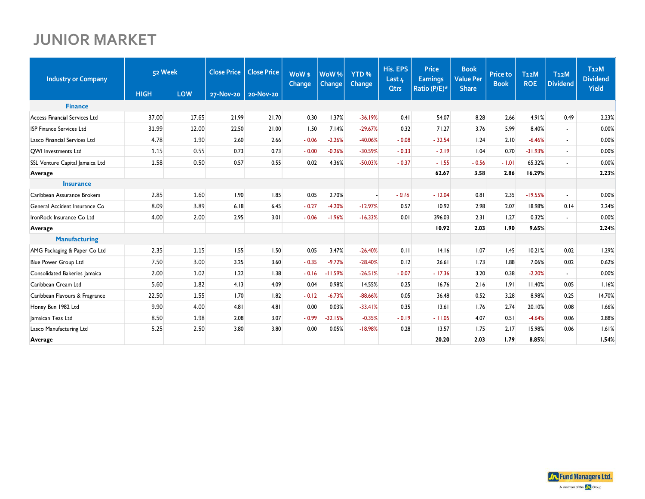## **JUNIOR MARKET**

| <b>Industry or Company</b>           |             | 52 Week<br><b>Close Price</b> |           | <b>Close Price</b> | WoW <sub>s</sub><br><b>Change</b> | WoW <sup>%</sup><br><b>Change</b> | YTD <sub>%</sub><br>Change | His. EPS<br>Last 4 | <b>Price</b><br><b>Earnings</b> | <b>Book</b><br><b>Value Per</b> | <b>Price to</b><br><b>Book</b> | <b>T12M</b><br><b>ROE</b> | T <sub>12</sub> M<br><b>Dividend</b> | T <sub>12</sub> M<br><b>Dividend</b> |
|--------------------------------------|-------------|-------------------------------|-----------|--------------------|-----------------------------------|-----------------------------------|----------------------------|--------------------|---------------------------------|---------------------------------|--------------------------------|---------------------------|--------------------------------------|--------------------------------------|
|                                      | <b>HIGH</b> | LOW                           | 27-Nov-20 | 20-Nov-20          |                                   |                                   |                            | <b>Qtrs</b>        | Ratio (P/E)*                    | <b>Share</b>                    |                                |                           |                                      | <b>Yield</b>                         |
| <b>Finance</b>                       |             |                               |           |                    |                                   |                                   |                            |                    |                                 |                                 |                                |                           |                                      |                                      |
| <b>Access Financial Services Ltd</b> | 37.00       | 17.65                         | 21.99     | 21.70              | 0.30                              | 1.37%                             | $-36.19%$                  | 0.41               | 54.07                           | 8.28                            | 2.66                           | 4.91%                     | 0.49                                 | 2.23%                                |
| <b>ISP Finance Services Ltd</b>      | 31.99       | 12.00                         | 22.50     | 21.00              | 1.50                              | 7.14%                             | $-29.67%$                  | 0.32               | 71.27                           | 3.76                            | 5.99                           | 8.40%                     | $\sim$                               | 0.00%                                |
| Lasco Financial Services Ltd         | 4.78        | 1.90                          | 2.60      | 2.66               | $-0.06$                           | $-2.26%$                          | -40.06%                    | $-0.08$            | $-32.54$                        | 1.24                            | 2.10                           | $-6.46%$                  | $\sim$                               | 0.00%                                |
| <b>QWI</b> Investments Ltd           | 1.15        | 0.55                          | 0.73      | 0.73               | $-0.00$                           | $-0.26%$                          | $-30.59%$                  | $-0.33$            | $-2.19$                         | 1.04                            | 0.70                           | $-31.93%$                 |                                      | 0.00%                                |
| SSL Venture Capital Jamaica Ltd      | 1.58        | 0.50                          | 0.57      | 0.55               | 0.02                              | 4.36%                             | $-50.03%$                  | $-0.37$            | $-1.55$                         | $-0.56$                         | $-1.01$                        | 65.32%                    |                                      | 0.00%                                |
| Average                              |             |                               |           |                    |                                   |                                   |                            |                    | 62.67                           | 3.58                            | 2.86                           | 16.29%                    |                                      | 2.23%                                |
| <b>Insurance</b>                     |             |                               |           |                    |                                   |                                   |                            |                    |                                 |                                 |                                |                           |                                      |                                      |
| Caribbean Assurance Brokers          | 2.85        | 1.60                          | 1.90      | 1.85               | 0.05                              | 2.70%                             |                            | $-0.16$            | $-12.04$                        | 0.81                            | 2.35                           | $-19.55%$                 | $\sim$                               | 0.00%                                |
| General Accident Insurance Co        | 8.09        | 3.89                          | 6.18      | 6.45               | $-0.27$                           | $-4.20%$                          | $-12.97%$                  | 0.57               | 10.92                           | 2.98                            | 2.07                           | 18.98%                    | 0.14                                 | 2.24%                                |
| IronRock Insurance Co Ltd            | 4.00        | 2.00                          | 2.95      | 3.01               | $-0.06$                           | $-1.96%$                          | $-16.33%$                  | 0.01               | 396.03                          | 2.31                            | 1.27                           | 0.32%                     |                                      | 0.00%                                |
| Average                              |             |                               |           |                    |                                   |                                   |                            |                    | 10.92                           | 2.03                            | 1.90                           | 9.65%                     |                                      | 2.24%                                |
| <b>Manufacturing</b>                 |             |                               |           |                    |                                   |                                   |                            |                    |                                 |                                 |                                |                           |                                      |                                      |
| AMG Packaging & Paper Co Ltd         | 2.35        | 1.15                          | 1.55      | 1.50               | 0.05                              | 3.47%                             | $-26.40%$                  | 0.11               | 14.16                           | 1.07                            | 1.45                           | 10.21%                    | 0.02                                 | 1.29%                                |
| <b>Blue Power Group Ltd</b>          | 7.50        | 3.00                          | 3.25      | 3.60               | $-0.35$                           | $-9.72%$                          | $-28.40%$                  | 0.12               | 26.61                           | 1.73                            | 1.88                           | 7.06%                     | 0.02                                 | 0.62%                                |
| Consolidated Bakeries Jamaica        | 2.00        | 1.02                          | 1.22      | 1.38               | $-0.16$                           | $-11.59%$                         | $-26.51%$                  | $-0.07$            | $-17.36$                        | 3.20                            | 0.38                           | $-2.20%$                  |                                      | 0.00%                                |
| Caribbean Cream Ltd                  | 5.60        | 1.82                          | 4.13      | 4.09               | 0.04                              | 0.98%                             | 14.55%                     | 0.25               | 16.76                           | 2.16                            | 1.91                           | 11.40%                    | 0.05                                 | 1.16%                                |
| Caribbean Flavours & Fragrance       | 22.50       | 1.55                          | 1.70      | 1.82               | $-0.12$                           | $-6.73%$                          | $-88.66%$                  | 0.05               | 36.48                           | 0.52                            | 3.28                           | 8.98%                     | 0.25                                 | 14.70%                               |
| Honey Bun 1982 Ltd                   | 9.90        | 4.00                          | 4.81      | 4.81               | 0.00                              | 0.03%                             | $-33.41%$                  | 0.35               | 13.61                           | 1.76                            | 2.74                           | 20.10%                    | 0.08                                 | 1.66%                                |
| Jamaican Teas Ltd                    | 8.50        | 1.98                          | 2.08      | 3.07               | $-0.99$                           | $-32.15%$                         | $-0.35%$                   | $-0.19$            | $-11.05$                        | 4.07                            | 0.51                           | $-4.64%$                  | 0.06                                 | 2.88%                                |
| Lasco Manufacturing Ltd              | 5.25        | 2.50                          | 3.80      | 3.80               | 0.00                              | 0.05%                             | $-18.98%$                  | 0.28               | 13.57                           | 1.75                            | 2.17                           | 15.98%                    | 0.06                                 | 1.61%                                |
| Average                              |             |                               |           |                    |                                   |                                   |                            |                    | 20.20                           | 2.03                            | 1.79                           | 8.85%                     |                                      | 1.54%                                |

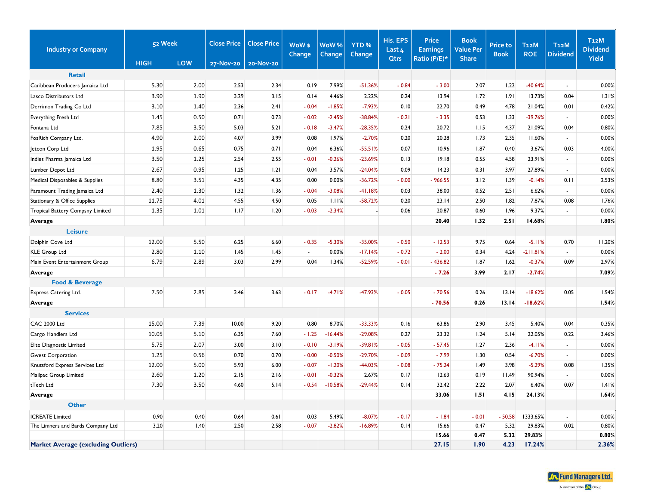| <b>Industry or Company</b>                 | 52 Week     |      | <b>Close Price</b> | <b>Close Price</b> | WoW \$<br>Change | WoW%<br>Change | YTD <sub>%</sub><br>Change | His. EPS<br>Last 4 | <b>Price</b><br><b>Earnings</b> | <b>Book</b><br><b>Value Per</b> | <b>Price to</b><br><b>Book</b> | <b>T12M</b><br><b>ROE</b> | <b>T12M</b><br><b>Dividend</b> | T <sub>12</sub> M<br><b>Dividend</b> |
|--------------------------------------------|-------------|------|--------------------|--------------------|------------------|----------------|----------------------------|--------------------|---------------------------------|---------------------------------|--------------------------------|---------------------------|--------------------------------|--------------------------------------|
|                                            | <b>HIGH</b> | LOW  | 27-Nov-20          | 20-Nov-20          |                  |                |                            | Otrs               | Ratio (P/E)*                    | <b>Share</b>                    |                                |                           |                                | <b>Yield</b>                         |
| <b>Retail</b>                              |             |      |                    |                    |                  |                |                            |                    |                                 |                                 |                                |                           |                                |                                      |
| Caribbean Producers Jamaica Ltd            | 5.30        | 2.00 | 2.53               | 2.34               | 0.19             | 7.99%          | $-51.36%$                  | $-0.84$            | $-3.00$                         | 2.07                            | 1.22                           | $-40.64%$                 | $\overline{\phantom{a}}$       | 0.00%                                |
| Lasco Distributors Ltd                     | 3.90        | 1.90 | 3.29               | 3.15               | 0.14             | 4.46%          | 2.22%                      | 0.24               | 13.94                           | 1.72                            | 1.91                           | 13.73%                    | 0.04                           | 1.31%                                |
| Derrimon Trading Co Ltd                    | 3.10        | 1.40 | 2.36               | 2.41               | $-0.04$          | $-1.85%$       | $-7.93%$                   | 0.10               | 22.70                           | 0.49                            | 4.78                           | 21.04%                    | 0.01                           | 0.42%                                |
| Everything Fresh Ltd                       | 1.45        | 0.50 | 0.71               | 0.73               | $-0.02$          | $-2.45%$       | $-38.84%$                  | $-0.21$            | $-3.35$                         | 0.53                            | 1.33                           | -39.76%                   |                                | 0.00%                                |
| Fontana Ltd                                | 7.85        | 3.50 | 5.03               | 5.21               | $-0.18$          | $-3.47%$       | $-28.35%$                  | 0.24               | 20.72                           | 1.15                            | 4.37                           | 21.09%                    | 0.04                           | 0.80%                                |
| FosRich Company Ltd.                       | 4.90        | 2.00 | 4.07               | 3.99               | 0.08             | 1.97%          | $-2.70%$                   | 0.20               | 20.28                           | 1.73                            | 2.35                           | 11.60%                    | $\blacksquare$                 | 0.00%                                |
| Jetcon Corp Ltd                            | 1.95        | 0.65 | 0.75               | 0.71               | 0.04             | 6.36%          | $-55.51%$                  | 0.07               | 10.96                           | 1.87                            | 0.40                           | 3.67%                     | 0.03                           | 4.00%                                |
| Indies Pharma Jamaica Ltd                  | 3.50        | 1.25 | 2.54               | 2.55               | $-0.01$          | $-0.26%$       | $-23.69%$                  | 0.13               | 19.18                           | 0.55                            | 4.58                           | 23.91%                    | $\sim$                         | 0.00%                                |
| Lumber Depot Ltd                           | 2.67        | 0.95 | 1.25               | 1.21               | 0.04             | 3.57%          | $-24.04%$                  | 0.09               | 14.23                           | 0.31                            | 3.97                           | 27.89%                    | $\sim$                         | 0.00%                                |
| Medical Disposables & Supplies             | 8.80        | 3.51 | 4.35               | 4.35               | 0.00             | 0.00%          | $-36.72%$                  | $-0.00$            | $-966.55$                       | 3.12                            | 1.39                           | $-0.14%$                  | 0.11                           | 2.53%                                |
| Paramount Trading Jamaica Ltd              | 2.40        | 1.30 | 1.32               | 1.36               | $-0.04$          | $-3.08%$       | $-41.18%$                  | 0.03               | 38.00                           | 0.52                            | 2.51                           | 6.62%                     | $\overline{\phantom{a}}$       | 0.00%                                |
| Stationary & Office Supplies               | 11.75       | 4.01 | 4.55               | 4.50               | 0.05             | 1.11%          | $-58.72%$                  | 0.20               | 23.14                           | 2.50                            | 1.82                           | 7.87%                     | 0.08                           | 1.76%                                |
| Tropical Battery Compsny Limited           | 1.35        | 1.01 | 1.17               | 1.20               | $-0.03$          | $-2.34%$       |                            | 0.06               | 20.87                           | 0.60                            | 1.96                           | 9.37%                     |                                | 0.00%                                |
| Average                                    |             |      |                    |                    |                  |                |                            |                    | 20.40                           | 1.32                            | 2.51                           | 14.68%                    |                                | 1.80%                                |
| <b>Leisure</b>                             |             |      |                    |                    |                  |                |                            |                    |                                 |                                 |                                |                           |                                |                                      |
| Dolphin Cove Ltd                           | 12.00       | 5.50 | 6.25               | 6.60               | $-0.35$          | $-5.30%$       | $-35.00%$                  | $-0.50$            | $-12.53$                        | 9.75                            | 0.64                           | $-5.11%$                  | 0.70                           | 11.20%                               |
| <b>KLE Group Ltd</b>                       | 2.80        | 1.10 | 1.45               | 1.45               | $\sim$           | 0.00%          | $-17.14%$                  | $-0.72$            | $-2.00$                         | 0.34                            | 4.24                           | $-211.81%$                | $\sim$                         | 0.00%                                |
| Main Event Entertainment Group             | 6.79        | 2.89 | 3.03               | 2.99               | 0.04             | 1.34%          | $-52.59%$                  | $-0.01$            | $-436.82$                       | 1.87                            | 1.62                           | $-0.37%$                  | 0.09                           | 2.97%                                |
| Average                                    |             |      |                    |                    |                  |                |                            |                    | $-7.26$                         | 3.99                            | 2.17                           | $-2.74%$                  |                                | 7.09%                                |
| <b>Food &amp; Beverage</b>                 |             |      |                    |                    |                  |                |                            |                    |                                 |                                 |                                |                           |                                |                                      |
| Express Catering Ltd.                      | 7.50        | 2.85 | 3.46               | 3.63               | $-0.17$          | $-4.71%$       | -47.93%                    | $-0.05$            | $-70.56$                        | 0.26                            | 13.14                          | $-18.62%$                 | 0.05                           | 1.54%                                |
| Average                                    |             |      |                    |                    |                  |                |                            |                    | $-70.56$                        | 0.26                            | 13.14                          | $-18.62%$                 |                                | 1.54%                                |
| <b>Services</b>                            |             |      |                    |                    |                  |                |                            |                    |                                 |                                 |                                |                           |                                |                                      |
| <b>CAC 2000 Ltd</b>                        | 15.00       | 7.39 | 10.00              | 9.20               | 0.80             | 8.70%          | $-33.33%$                  | 0.16               | 63.86                           | 2.90                            | 3.45                           | 5.40%                     | 0.04                           | 0.35%                                |
| Cargo Handlers Ltd                         | 10.05       | 5.10 | 6.35               | 7.60               | $-1.25$          | $-16.44%$      | $-29.08%$                  | 0.27               | 23.32                           | 1.24                            | 5.14                           | 22.05%                    | 0.22                           | 3.46%                                |
| Elite Diagnostic Limited                   | 5.75        | 2.07 | 3.00               | 3.10               | $-0.10$          | $-3.19%$       | $-39.81%$                  | $-0.05$            | $-57.45$                        | 1.27                            | 2.36                           | $-4.11%$                  | $\overline{a}$                 | 0.00%                                |
| <b>Gwest Corporation</b>                   | 1.25        | 0.56 | 0.70               | 0.70               | $-0.00$          | $-0.50%$       | $-29.70%$                  | $-0.09$            | $-7.99$                         | 1.30                            | 0.54                           | $-6.70%$                  | $\blacksquare$                 | 0.00%                                |
| Knutsford Express Services Ltd             | 12.00       | 5.00 | 5.93               | 6.00               | $-0.07$          | $-1.20%$       | -44.03%                    | $-0.08$            | $-75.24$                        | 1.49                            | 3.98                           | $-5.29%$                  | 0.08                           | 1.35%                                |
| Mailpac Group Limited                      | 2.60        | 1.20 | 2.15               | 2.16               | $-0.01$          | $-0.32%$       | 2.67%                      | 0.17               | 12.63                           | 0.19                            | 11.49                          | 90.94%                    | $\mathbf{r}$                   | 0.00%                                |
| tTech Ltd                                  | 7.30        | 3.50 | 4.60               | 5.14               | $-0.54$          | $-10.58%$      | $-29.44%$                  | 0.14               | 32.42                           | 2.22                            | 2.07                           | 6.40%                     | 0.07                           | 1.41%                                |
| Average                                    |             |      |                    |                    |                  |                |                            |                    | 33.06                           | 1.51                            | 4.15                           | 24.13%                    |                                | 1.64%                                |
| <b>Other</b>                               |             |      |                    |                    |                  |                |                            |                    |                                 |                                 |                                |                           |                                |                                      |
| <b>ICREATE Limited</b>                     | 0.90        | 0.40 | 0.64               | 0.61               | 0.03             | 5.49%          | $-8.07%$                   | $-0.17$            | $-1.84$                         | $-0.01$                         | $-50.58$                       | 1333.65%                  |                                | 0.00%                                |
| The Limners and Bards Company Ltd          | 3.20        | 1.40 | 2.50               | 2.58               | $-0.07$          | $-2.82%$       | $-16.89%$                  | 0.14               | 15.66                           | 0.47                            | 5.32                           | 29.83%                    | 0.02                           | 0.80%                                |
|                                            |             |      |                    |                    |                  |                |                            |                    | 15.66                           | 0.47                            | 5.32                           | 29.83%                    |                                | 0.80%                                |
| <b>Market Average (excluding Outliers)</b> |             |      |                    |                    |                  |                |                            |                    | 27.15                           | 1.90                            | 4.23                           | 17.24%                    |                                | 2.36%                                |